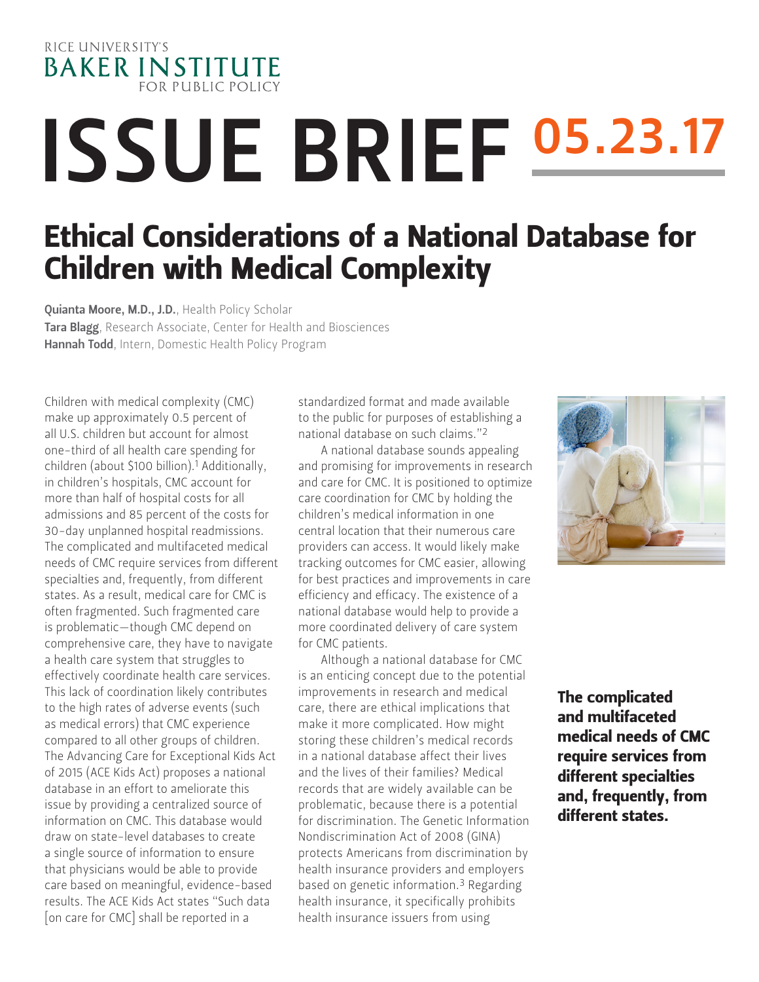

# ISSUE BRIEF 05.23.17

# Ethical Considerations of a National Database for Children with Medical Complexity

Quianta Moore, M.D., J.D., Health Policy Scholar Tara Blagg, Research Associate, Center for Health and Biosciences Hannah Todd, Intern, Domestic Health Policy Program

Children with medical complexity (CMC) make up approximately 0.5 percent of all U.S. children but account for almost one-third of all health care spending for children (about \$100 billion).1 Additionally, in children's hospitals, CMC account for more than half of hospital costs for all admissions and 85 percent of the costs for 30-day unplanned hospital readmissions. The complicated and multifaceted medical needs of CMC require services from different specialties and, frequently, from different states. As a result, medical care for CMC is often fragmented. Such fragmented care is problematic—though CMC depend on comprehensive care, they have to navigate a health care system that struggles to effectively coordinate health care services. This lack of coordination likely contributes to the high rates of adverse events (such as medical errors) that CMC experience compared to all other groups of children. The Advancing Care for Exceptional Kids Act of 2015 (ACE Kids Act) proposes a national database in an effort to ameliorate this issue by providing a centralized source of information on CMC. This database would draw on state-level databases to create a single source of information to ensure that physicians would be able to provide care based on meaningful, evidence-based results. The ACE Kids Act states "Such data [on care for CMC] shall be reported in a

standardized format and made available to the public for purposes of establishing a national database on such claims."2

A national database sounds appealing and promising for improvements in research and care for CMC. It is positioned to optimize care coordination for CMC by holding the children's medical information in one central location that their numerous care providers can access. It would likely make tracking outcomes for CMC easier, allowing for best practices and improvements in care efficiency and efficacy. The existence of a national database would help to provide a more coordinated delivery of care system for CMC patients.

Although a national database for CMC is an enticing concept due to the potential improvements in research and medical care, there are ethical implications that make it more complicated. How might storing these children's medical records in a national database affect their lives and the lives of their families? Medical records that are widely available can be problematic, because there is a potential for discrimination. The Genetic Information Nondiscrimination Act of 2008 (GINA) protects Americans from discrimination by health insurance providers and employers based on genetic information.3 Regarding health insurance, it specifically prohibits health insurance issuers from using



The complicated and multifaceted medical needs of CMC require services from different specialties and, frequently, from different states.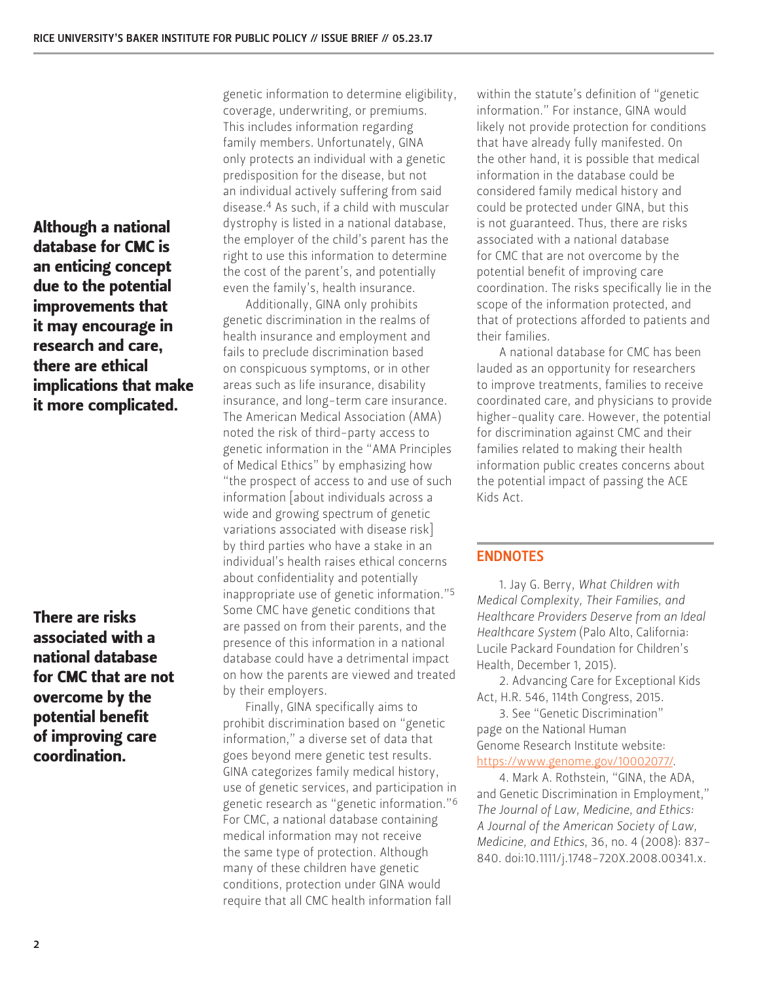Although a national database for CMC is an enticing concept due to the potential improvements that it may encourage in research and care, there are ethical implications that make it more complicated.

There are risks associated with a national database for CMC that are not overcome by the potential benefit of improving care coordination.

genetic information to determine eligibility, coverage, underwriting, or premiums. This includes information regarding family members. Unfortunately, GINA only protects an individual with a genetic predisposition for the disease, but not an individual actively suffering from said disease.4 As such, if a child with muscular dystrophy is listed in a national database, the employer of the child's parent has the right to use this information to determine the cost of the parent's, and potentially even the family's, health insurance.

Additionally, GINA only prohibits genetic discrimination in the realms of health insurance and employment and fails to preclude discrimination based on conspicuous symptoms, or in other areas such as life insurance, disability insurance, and long-term care insurance. The American Medical Association (AMA) noted the risk of third-party access to genetic information in the "AMA Principles of Medical Ethics" by emphasizing how "the prospect of access to and use of such information [about individuals across a wide and growing spectrum of genetic variations associated with disease risk] by third parties who have a stake in an individual's health raises ethical concerns about confidentiality and potentially inappropriate use of genetic information."5 Some CMC have genetic conditions that are passed on from their parents, and the presence of this information in a national database could have a detrimental impact on how the parents are viewed and treated by their employers.

Finally, GINA specifically aims to prohibit discrimination based on "genetic information," a diverse set of data that goes beyond mere genetic test results. GINA categorizes family medical history, use of genetic services, and participation in genetic research as "genetic information."6 For CMC, a national database containing medical information may not receive the same type of protection. Although many of these children have genetic conditions, protection under GINA would require that all CMC health information fall

within the statute's definition of "genetic information." For instance, GINA would likely not provide protection for conditions that have already fully manifested. On the other hand, it is possible that medical information in the database could be considered family medical history and could be protected under GINA, but this is not guaranteed. Thus, there are risks associated with a national database for CMC that are not overcome by the potential benefit of improving care coordination. The risks specifically lie in the scope of the information protected, and that of protections afforded to patients and their families.

A national database for CMC has been lauded as an opportunity for researchers to improve treatments, families to receive coordinated care, and physicians to provide higher-quality care. However, the potential for discrimination against CMC and their families related to making their health information public creates concerns about the potential impact of passing the ACE Kids Act.

# ENDNOTES

1. Jay G. Berry, *What Children with Medical Complexity, Their Families, and Healthcare Providers Deserve from an Ideal Healthcare System* (Palo Alto, California: Lucile Packard Foundation for Children's Health, December 1, 2015).

2. Advancing Care for Exceptional Kids Act, H.R. 546, 114th Congress, 2015.

3. See "Genetic Discrimination" page on the National Human Genome Research Institute website: [https://www.genome.gov/10002077/.](https://www.genome.gov/10002077/)

4. Mark A. Rothstein, "GINA, the ADA, and Genetic Discrimination in Employment," *The Journal of Law, Medicine, and Ethics: A Journal of the American Society of Law, Medicine, and Ethics*, 36, no. 4 (2008): 837- 840. doi:10.1111/j.1748-720X.2008.00341.x.